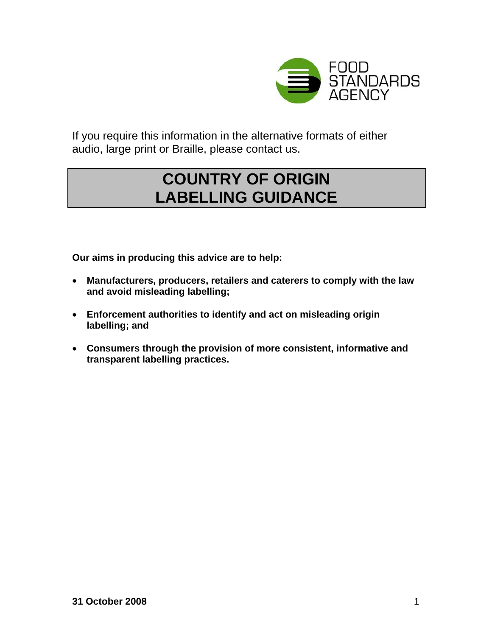

If you require this information in the alternative formats of either audio, large print or Braille, please contact us.

# **COUNTRY OF ORIGIN LABELLING GUIDANCE**

**Our aims in producing this advice are to help:** 

- **Manufacturers, producers, retailers and caterers to comply with the law and avoid misleading labelling;**
- **Enforcement authorities to identify and act on misleading origin labelling; and**
- **Consumers through the provision of more consistent, informative and transparent labelling practices.**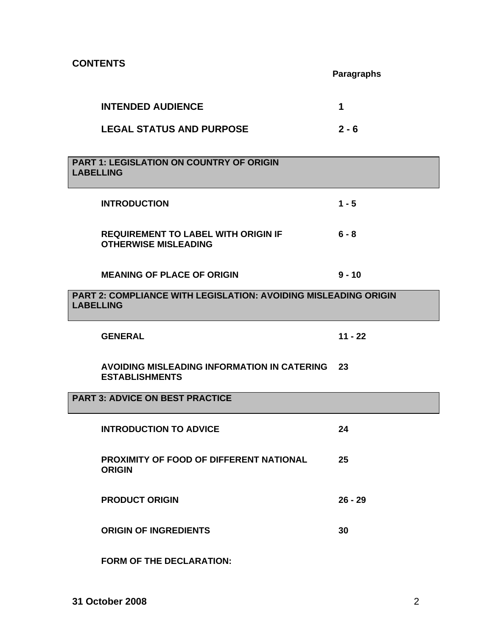**CONTENTS** 

# **Paragraphs**

| <b>INTENDED AUDIENCE</b>                                                                   | 1         |
|--------------------------------------------------------------------------------------------|-----------|
| <b>LEGAL STATUS AND PURPOSE</b>                                                            | $2 - 6$   |
|                                                                                            |           |
| <b>PART 1: LEGISLATION ON COUNTRY OF ORIGIN</b><br><b>LABELLING</b>                        |           |
| <b>INTRODUCTION</b>                                                                        | $1 - 5$   |
| <b>REQUIREMENT TO LABEL WITH ORIGIN IF</b><br><b>OTHERWISE MISLEADING</b>                  | $6 - 8$   |
| <b>MEANING OF PLACE OF ORIGIN</b>                                                          | $9 - 10$  |
| <b>PART 2: COMPLIANCE WITH LEGISLATION: AVOIDING MISLEADING ORIGIN</b><br><b>LABELLING</b> |           |
| <b>GENERAL</b>                                                                             | $11 - 22$ |
| AVOIDING MISLEADING INFORMATION IN CATERING<br><b>ESTABLISHMENTS</b>                       | 23        |
| <b>PART 3: ADVICE ON BEST PRACTICE</b>                                                     |           |
| <b>INTRODUCTION TO ADVICE</b>                                                              | 24        |
| <b>PROXIMITY OF FOOD OF DIFFERENT NATIONAL</b><br><b>ORIGIN</b>                            | 25        |
|                                                                                            |           |
| <b>PRODUCT ORIGIN</b>                                                                      | $26 - 29$ |

**FORM OF THE DECLARATION:**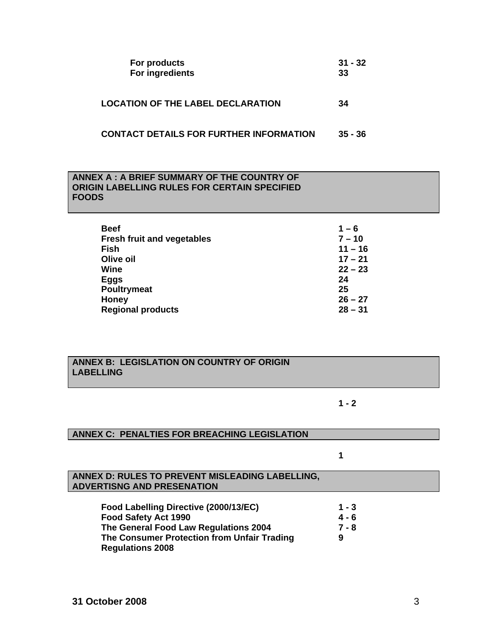| <b>For products</b>    | $31 - 32$ |
|------------------------|-----------|
| <b>For ingredients</b> | 33        |

#### **LOCATION OF THE LABEL DECLARATION 34**

#### **CONTACT DETAILS FOR FURTHER INFORMATION 35 - 36**

#### **ANNEX A : A BRIEF SUMMARY OF THE COUNTRY OF ORIGIN LABELLING RULES FOR CERTAIN SPECIFIED FOODS**

| <b>Beef</b>                       | $1 - 6$   |
|-----------------------------------|-----------|
| <b>Fresh fruit and vegetables</b> | $7 - 10$  |
| Fish                              | $11 - 16$ |
| Olive oil                         | $17 - 21$ |
| Wine                              | $22 - 23$ |
| Eggs                              | 24        |
| <b>Poultrymeat</b>                | 25        |
| <b>Honey</b>                      | $26 - 27$ |
| <b>Regional products</b>          | $28 - 31$ |

#### **ANNEX B: LEGISLATION ON COUNTRY OF ORIGIN LABELLING**

**1 - 2** 

#### **ANNEX C: PENALTIES FOR BREACHING LEGISLATION**

**1** 

#### **ANNEX D: RULES TO PREVENT MISLEADING LABELLING, ADVERTISNG AND PRESENATION**

| Food Labelling Directive (2000/13/EC)       | $1 - 3$ |
|---------------------------------------------|---------|
| <b>Food Safety Act 1990</b>                 | $4 - 6$ |
| The General Food Law Regulations 2004       | 7 - 8   |
| The Consumer Protection from Unfair Trading | 9       |
| <b>Regulations 2008</b>                     |         |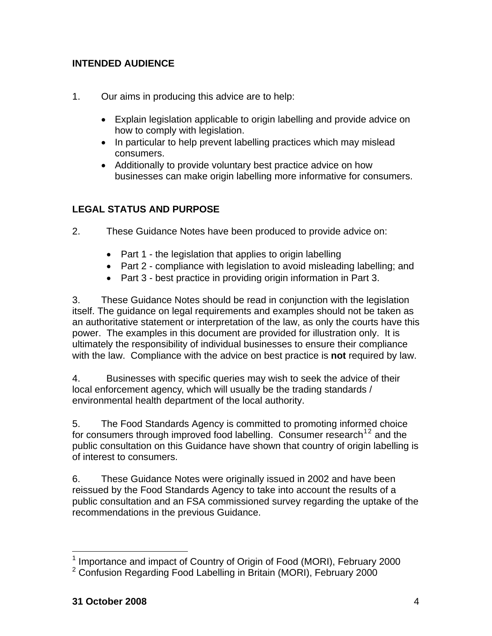# **INTENDED AUDIENCE**

- 1. Our aims in producing this advice are to help:
	- Explain legislation applicable to origin labelling and provide advice on how to comply with legislation.
	- In particular to help prevent labelling practices which may mislead consumers.
	- Additionally to provide voluntary best practice advice on how businesses can make origin labelling more informative for consumers.

# **LEGAL STATUS AND PURPOSE**

- 2. These Guidance Notes have been produced to provide advice on:
	- Part 1 the legislation that applies to origin labelling
	- Part 2 compliance with legislation to avoid misleading labelling; and
	- Part 3 best practice in providing origin information in Part 3.

3. These Guidance Notes should be read in conjunction with the legislation itself. The guidance on legal requirements and examples should not be taken as an authoritative statement or interpretation of the law, as only the courts have this power. The examples in this document are provided for illustration only. It is ultimately the responsibility of individual businesses to ensure their compliance with the law. Compliance with the advice on best practice is **not** required by law.

4. Businesses with specific queries may wish to seek the advice of their local enforcement agency, which will usually be the trading standards / environmental health department of the local authority.

5. The Food Standards Agency is committed to promoting informed choice for consumers through improved food labelling. Consumer research $12$  and the public consultation on this Guidance have shown that country of origin labelling is of interest to consumers.

6. These Guidance Notes were originally issued in 2002 and have been reissued by the Food Standards Agency to take into account the results of a public consultation and an FSA commissioned survey regarding the uptake of the recommendations in the previous Guidance.

<span id="page-3-0"></span> $\overline{a}$ <sup>1</sup> Importance and impact of Country of Origin of Food (MORI), February 2000

<sup>&</sup>lt;sup>2</sup> Confusion Regarding Food Labelling in Britain (MORI), February 2000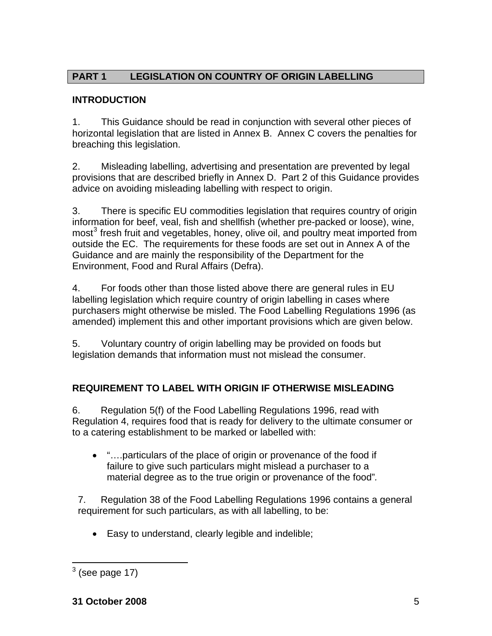# **PART 1 LEGISLATION ON COUNTRY OF ORIGIN LABELLING**

## **INTRODUCTION**

1. This Guidance should be read in conjunction with several other pieces of horizontal legislation that are listed in Annex B. Annex C covers the penalties for breaching this legislation.

2. Misleading labelling, advertising and presentation are prevented by legal provisions that are described briefly in Annex D. Part 2 of this Guidance provides advice on avoiding misleading labelling with respect to origin.

3. There is specific EU commodities legislation that requires country of origin information for beef, veal, fish and shellfish (whether pre-packed or loose), wine, most<sup>[3](#page-4-0)</sup> fresh fruit and vegetables, honey, olive oil, and poultry meat imported from outside the EC. The requirements for these foods are set out in Annex A of the Guidance and are mainly the responsibility of the Department for the Environment, Food and Rural Affairs (Defra).

4. For foods other than those listed above there are general rules in EU labelling legislation which require country of origin labelling in cases where purchasers might otherwise be misled. The Food Labelling Regulations 1996 (as amended) implement this and other important provisions which are given below.

5. Voluntary country of origin labelling may be provided on foods but legislation demands that information must not mislead the consumer.

# **REQUIREMENT TO LABEL WITH ORIGIN IF OTHERWISE MISLEADING**

6. Regulation 5(f) of the Food Labelling Regulations 1996, read with Regulation 4, requires food that is ready for delivery to the ultimate consumer or to a catering establishment to be marked or labelled with:

• "….particulars of the place of origin or provenance of the food if failure to give such particulars might mislead a purchaser to a material degree as to the true origin or provenance of the food"*.* 

7. Regulation 38 of the Food Labelling Regulations 1996 contains a general requirement for such particulars, as with all labelling, to be:

• Easy to understand, clearly legible and indelible;

<span id="page-4-0"></span> $\frac{1}{3}$  (see page 17)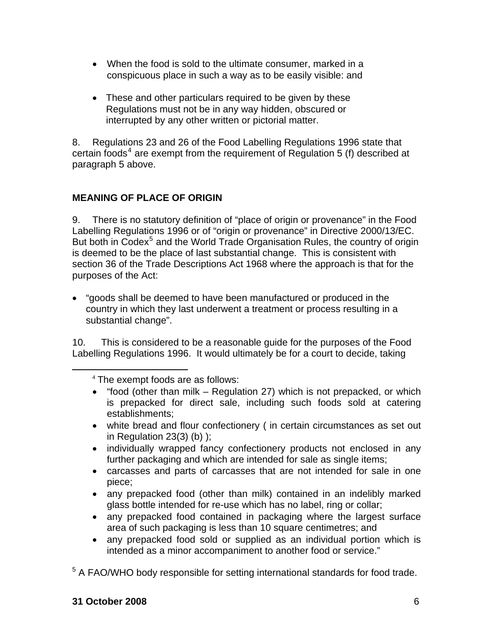- When the food is sold to the ultimate consumer, marked in a conspicuous place in such a way as to be easily visible: and
- These and other particulars required to be given by these Regulations must not be in any way hidden, obscured or interrupted by any other written or pictorial matter.

8. Regulations 23 and 26 of the Food Labelling Regulations 1996 state that certain foods<sup>[4](#page-5-0)</sup> are exempt from the requirement of Regulation 5 (f) described at paragraph 5 above.

# **MEANING OF PLACE OF ORIGIN**

9. There is no statutory definition of "place of origin or provenance" in the Food Labelling Regulations 1996 or of "origin or provenance" in Directive 2000/13/EC. But both in Codex<sup>[5](#page-5-1)</sup> and the World Trade Organisation Rules, the country of origin is deemed to be the place of last substantial change. This is consistent with section 36 of the Trade Descriptions Act 1968 where the approach is that for the purposes of the Act:

• "goods shall be deemed to have been manufactured or produced in the country in which they last underwent a treatment or process resulting in a substantial change".

<span id="page-5-0"></span>10. This is considered to be a reasonable guide for the purposes of the Food Labelling Regulations 1996. It would ultimately be for a court to decide, taking

4 The exempt foods are as follows:

- "food (other than milk Regulation 27) which is not prepacked, or which is prepacked for direct sale, including such foods sold at catering establishments;
- white bread and flour confectionery ( in certain circumstances as set out in Regulation 23(3) (b) );
- individually wrapped fancy confectionery products not enclosed in any further packaging and which are intended for sale as single items;
- carcasses and parts of carcasses that are not intended for sale in one piece;
- any prepacked food (other than milk) contained in an indelibly marked glass bottle intended for re-use which has no label, ring or collar;
- any prepacked food contained in packaging where the largest surface area of such packaging is less than 10 square centimetres; and
- any prepacked food sold or supplied as an individual portion which is intended as a minor accompaniment to another food or service."

<span id="page-5-1"></span> $5$  A FAO/WHO body responsible for setting international standards for food trade.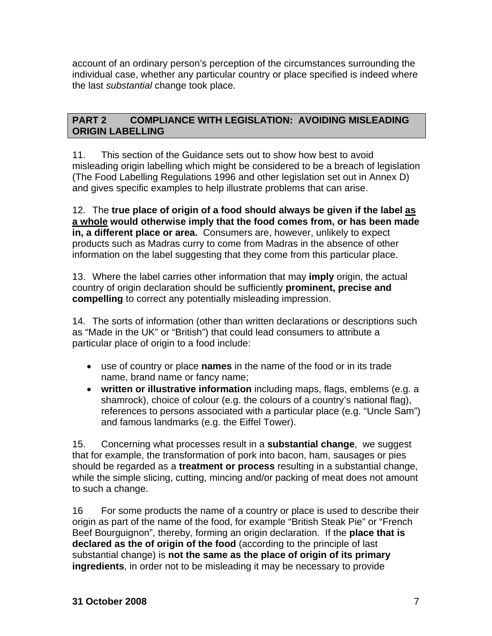account of an ordinary person's perception of the circumstances surrounding the individual case, whether any particular country or place specified is indeed where the last *substantial* change took place.

## **PART 2 COMPLIANCE WITH LEGISLATION: AVOIDING MISLEADING ORIGIN LABELLING**

11. This section of the Guidance sets out to show how best to avoid misleading origin labelling which might be considered to be a breach of legislation (The Food Labelling Regulations 1996 and other legislation set out in Annex D) and gives specific examples to help illustrate problems that can arise.

12. The **true place of origin of a food should always be given if the label as a whole would otherwise imply that the food comes from, or has been made in, a different place or area.** Consumers are, however, unlikely to expect products such as Madras curry to come from Madras in the absence of other information on the label suggesting that they come from this particular place.

13. Where the label carries other information that may **imply** origin, the actual country of origin declaration should be sufficiently **prominent, precise and compelling** to correct any potentially misleading impression.

14. The sorts of information (other than written declarations or descriptions such as "Made in the UK" or "British") that could lead consumers to attribute a particular place of origin to a food include:

- use of country or place **names** in the name of the food or in its trade name, brand name or fancy name;
- **written or illustrative information** including maps, flags, emblems (e.g. a shamrock), choice of colour (e.g. the colours of a country's national flag), references to persons associated with a particular place (e.g. "Uncle Sam") and famous landmarks (e.g. the Eiffel Tower).

15. Concerning what processes result in a **substantial change**, we suggest that for example, the transformation of pork into bacon, ham, sausages or pies should be regarded as a **treatment or process** resulting in a substantial change, while the simple slicing, cutting, mincing and/or packing of meat does not amount to such a change.

16 For some products the name of a country or place is used to describe their origin as part of the name of the food, for example "British Steak Pie" or "French Beef Bourguignon", thereby, forming an origin declaration. If the **place that is declared as the of origin of the food** (according to the principle of last substantial change) is **not the same as the place of origin of its primary ingredients**, in order not to be misleading it may be necessary to provide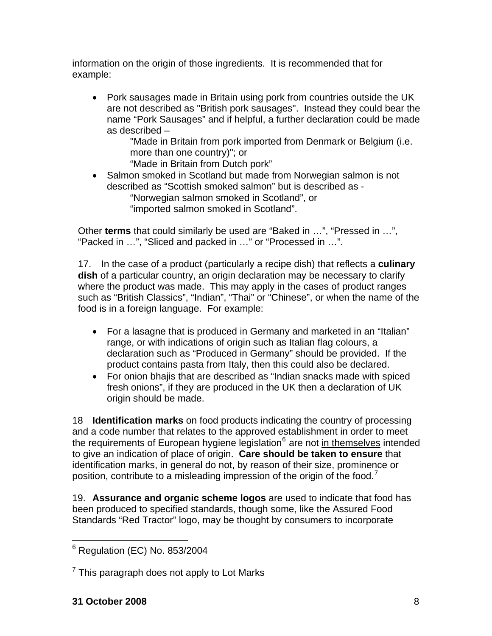information on the origin of those ingredients. It is recommended that for example:

• Pork sausages made in Britain using pork from countries outside the UK are not described as "British pork sausages". Instead they could bear the name "Pork Sausages" and if helpful, a further declaration could be made as described –

"Made in Britain from pork imported from Denmark or Belgium (i.e. more than one country)"; or

"Made in Britain from Dutch pork"

• Salmon smoked in Scotland but made from Norwegian salmon is not described as "Scottish smoked salmon" but is described as - "Norwegian salmon smoked in Scotland", or

"imported salmon smoked in Scotland".

Other **terms** that could similarly be used are "Baked in …", "Pressed in …", "Packed in …", "Sliced and packed in …" or "Processed in …".

17. In the case of a product (particularly a recipe dish) that reflects a **culinary dish** of a particular country, an origin declaration may be necessary to clarify where the product was made. This may apply in the cases of product ranges such as "British Classics", "Indian", "Thai" or "Chinese", or when the name of the food is in a foreign language. For example:

- For a lasagne that is produced in Germany and marketed in an "Italian" range, or with indications of origin such as Italian flag colours, a declaration such as "Produced in Germany" should be provided. If the product contains pasta from Italy, then this could also be declared.
- For onion bhajis that are described as "Indian snacks made with spiced fresh onions", if they are produced in the UK then a declaration of UK origin should be made.

18 **Identification marks** on food products indicating the country of processing and a code number that relates to the approved establishment in order to meet the requirements of European hygiene legislation<sup>[6](#page-7-0)</sup> are not in themselves intended to give an indication of place of origin. **Care should be taken to ensure** that identification marks, in general do not, by reason of their size, prominence or position, contribute to a misleading impression of the origin of the food.<sup> $7$ </sup>

19. **Assurance and organic scheme logos** are used to indicate that food has been produced to specified standards, though some, like the Assured Food Standards "Red Tractor" logo, may be thought by consumers to incorporate

<span id="page-7-0"></span> 6 Regulation (EC) No. 853/2004

<span id="page-7-1"></span> $7$  This paragraph does not apply to Lot Marks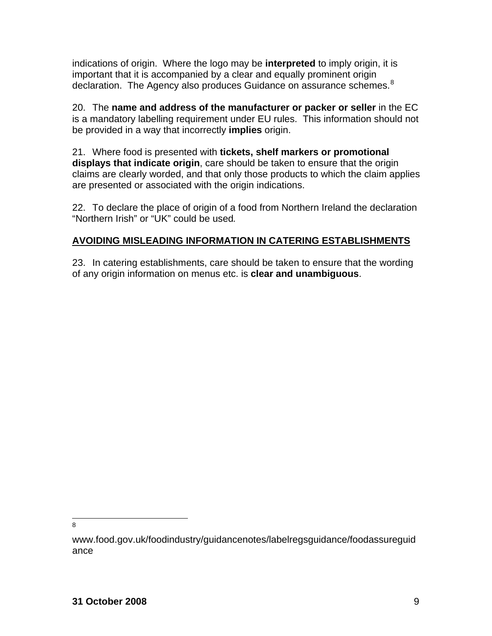indications of origin. Where the logo may be **interpreted** to imply origin, it is important that it is accompanied by a clear and equally prominent origin declaration. The Agency also produces Guidance on assurance schemes.<sup>[8](#page-8-0)</sup>

20. The **name and address of the manufacturer or packer or seller** in the EC is a mandatory labelling requirement under EU rules. This information should not be provided in a way that incorrectly **implies** origin.

21. Where food is presented with **tickets, shelf markers or promotional displays that indicate origin**, care should be taken to ensure that the origin claims are clearly worded, and that only those products to which the claim applies are presented or associated with the origin indications.

22. To declare the place of origin of a food from Northern Ireland the declaration "Northern Irish" or "UK" could be used*.* 

# **AVOIDING MISLEADING INFORMATION IN CATERING ESTABLISHMENTS**

23. In catering establishments, care should be taken to ensure that the wording of any origin information on menus etc. is **clear and unambiguous**.

—<br>8

<span id="page-8-0"></span>www.food.gov.uk/foodindustry/guidancenotes/labelregsguidance/foodassureguid ance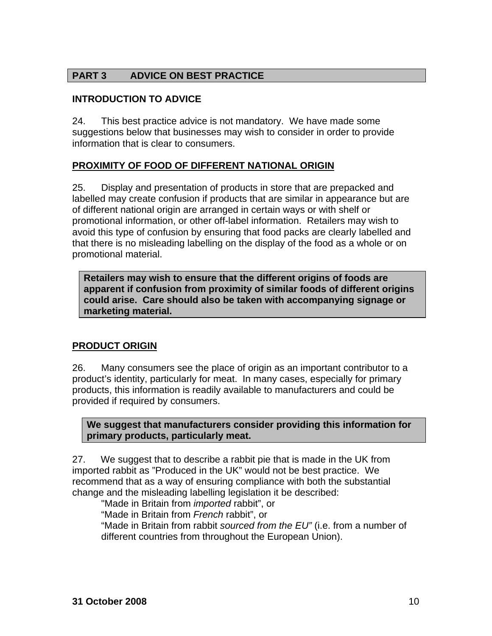# **PART 3 ADVICE ON BEST PRACTICE**

## **INTRODUCTION TO ADVICE**

24. This best practice advice is not mandatory. We have made some suggestions below that businesses may wish to consider in order to provide information that is clear to consumers.

## **PROXIMITY OF FOOD OF DIFFERENT NATIONAL ORIGIN**

25. Display and presentation of products in store that are prepacked and labelled may create confusion if products that are similar in appearance but are of different national origin are arranged in certain ways or with shelf or promotional information, or other off-label information. Retailers may wish to avoid this type of confusion by ensuring that food packs are clearly labelled and that there is no misleading labelling on the display of the food as a whole or on promotional material.

**Retailers may wish to ensure that the different origins of foods are apparent if confusion from proximity of similar foods of different origins could arise. Care should also be taken with accompanying signage or marketing material.** 

## **PRODUCT ORIGIN**

26. Many consumers see the place of origin as an important contributor to a product's identity, particularly for meat. In many cases, especially for primary products, this information is readily available to manufacturers and could be provided if required by consumers.

**We suggest that manufacturers consider providing this information for primary products, particularly meat.** 

27. We suggest that to describe a rabbit pie that is made in the UK from imported rabbit as "Produced in the UK" would not be best practice. We recommend that as a way of ensuring compliance with both the substantial change and the misleading labelling legislation it be described:

"Made in Britain from *imported* rabbit", or "Made in Britain from *French* rabbit", or "Made in Britain from rabbit *sourced from the EU"* (i.e. from a number of different countries from throughout the European Union).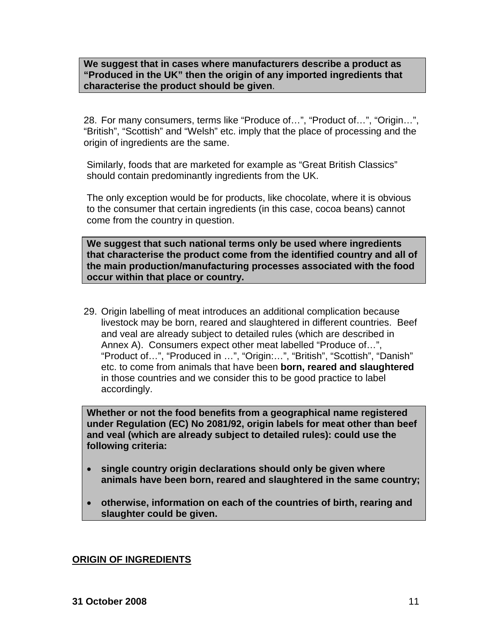**We suggest that in cases where manufacturers describe a product as "Produced in the UK" then the origin of any imported ingredients that characterise the product should be given**.

28. For many consumers, terms like "Produce of…", "Product of…", "Origin…", "British", "Scottish" and "Welsh" etc. imply that the place of processing and the origin of ingredients are the same.

Similarly, foods that are marketed for example as "Great British Classics" should contain predominantly ingredients from the UK.

The only exception would be for products, like chocolate, where it is obvious to the consumer that certain ingredients (in this case, cocoa beans) cannot come from the country in question.

**We suggest that such national terms only be used where ingredients that characterise the product come from the identified country and all of the main production/manufacturing processes associated with the food occur within that place or country.** 

29. Origin labelling of meat introduces an additional complication because livestock may be born, reared and slaughtered in different countries. Beef and veal are already subject to detailed rules (which are described in Annex A). Consumers expect other meat labelled "Produce of…", "Product of…", "Produced in …", "Origin:…", "British", "Scottish", "Danish" etc. to come from animals that have been **born, reared and slaughtered** in those countries and we consider this to be good practice to label accordingly.

**Whether or not the food benefits from a geographical name registered under Regulation (EC) No 2081/92, origin labels for meat other than beef and veal (which are already subject to detailed rules): could use the following criteria:** 

- **single country origin declarations should only be given where animals have been born, reared and slaughtered in the same country;**
- **otherwise, information on each of the countries of birth, rearing and slaughter could be given.**

### **ORIGIN OF INGREDIENTS**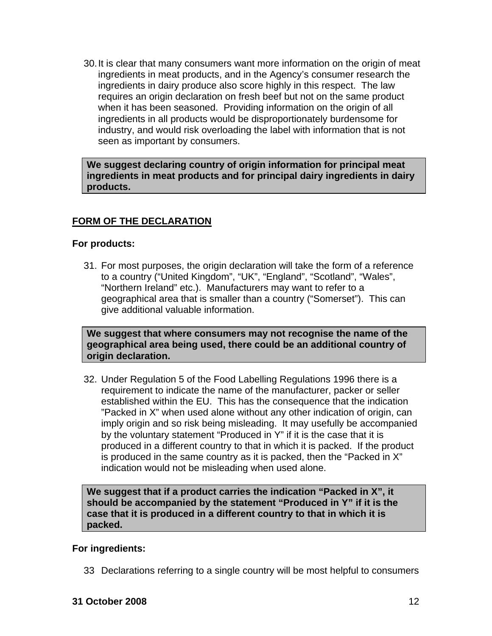30. It is clear that many consumers want more information on the origin of meat ingredients in meat products, and in the Agency's consumer research the ingredients in dairy produce also score highly in this respect. The law requires an origin declaration on fresh beef but not on the same product when it has been seasoned. Providing information on the origin of all ingredients in all products would be disproportionately burdensome for industry, and would risk overloading the label with information that is not seen as important by consumers.

**We suggest declaring country of origin information for principal meat ingredients in meat products and for principal dairy ingredients in dairy products.** 

## **FORM OF THE DECLARATION**

#### **For products:**

31. For most purposes, the origin declaration will take the form of a reference to a country ("United Kingdom", "UK", "England", "Scotland", "Wales", "Northern Ireland" etc.). Manufacturers may want to refer to a geographical area that is smaller than a country ("Somerset"). This can give additional valuable information.

**We suggest that where consumers may not recognise the name of the geographical area being used, there could be an additional country of origin declaration.** 

32. Under Regulation 5 of the Food Labelling Regulations 1996 there is a requirement to indicate the name of the manufacturer, packer or seller established within the EU. This has the consequence that the indication "Packed in X" when used alone without any other indication of origin, can imply origin and so risk being misleading. It may usefully be accompanied by the voluntary statement "Produced in Y" if it is the case that it is produced in a different country to that in which it is packed. If the product is produced in the same country as it is packed, then the "Packed in X" indication would not be misleading when used alone.

**We suggest that if a product carries the indication "Packed in X", it should be accompanied by the statement "Produced in Y" if it is the case that it is produced in a different country to that in which it is packed.** 

#### **For ingredients:**

33 Declarations referring to a single country will be most helpful to consumers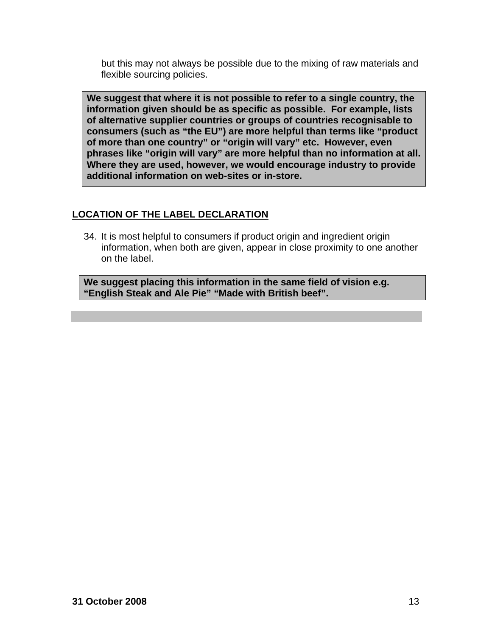but this may not always be possible due to the mixing of raw materials and flexible sourcing policies.

**We suggest that where it is not possible to refer to a single country, the information given should be as specific as possible. For example, lists of alternative supplier countries or groups of countries recognisable to consumers (such as "the EU") are more helpful than terms like "product of more than one country" or "origin will vary" etc. However, even phrases like "origin will vary" are more helpful than no information at all. Where they are used, however, we would encourage industry to provide additional information on web-sites or in-store.** 

# **LOCATION OF THE LABEL DECLARATION**

34. It is most helpful to consumers if product origin and ingredient origin information, when both are given, appear in close proximity to one another on the label.

**We suggest placing this information in the same field of vision e.g. "English Steak and Ale Pie" "Made with British beef".**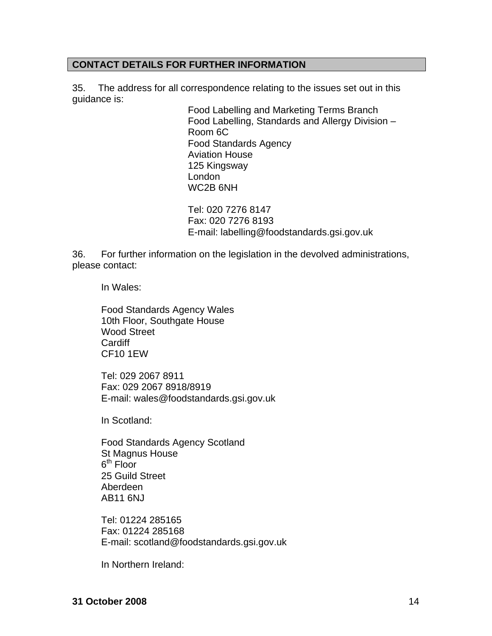#### **CONTACT DETAILS FOR FURTHER INFORMATION**

35. The address for all correspondence relating to the issues set out in this guidance is:

Food Labelling and Marketing Terms Branch Food Labelling, Standards and Allergy Division – Room 6C Food Standards Agency Aviation House 125 Kingsway London WC2B 6NH

Tel: 020 7276 8147 Fax: 020 7276 8193 E-mail: labelling@foodstandards.gsi.gov.uk

36. For further information on the legislation in the devolved administrations, please contact:

In Wales:

Food Standards Agency Wales 10th Floor, Southgate House Wood Street **Cardiff** CF10 1EW

Tel: 029 2067 8911 Fax: 029 2067 8918/8919 E-mail: wales@foodstandards.gsi.gov.uk

In Scotland:

Food Standards Agency Scotland St Magnus House  $6<sup>th</sup>$  Floor 25 Guild Street Aberdeen AB11 6NJ

Tel: 01224 285165 Fax: 01224 285168 E-mail: scotland@foodstandards.gsi.gov.uk

In Northern Ireland: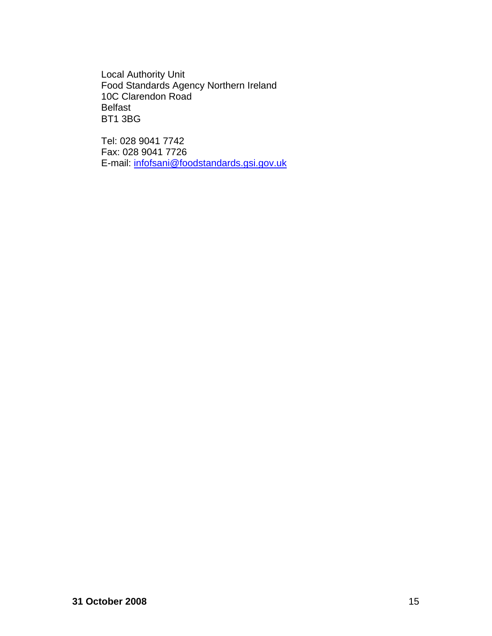Local Authority Unit Food Standards Agency Northern Ireland 10C Clarendon Road Belfast BT1 3BG

Tel: 028 9041 7742 Fax: 028 9041 7726 E-mail: [infofsani@foodstandards.gsi.gov.uk](mailto:infofsani@foodstandards.gsi.gov.uk)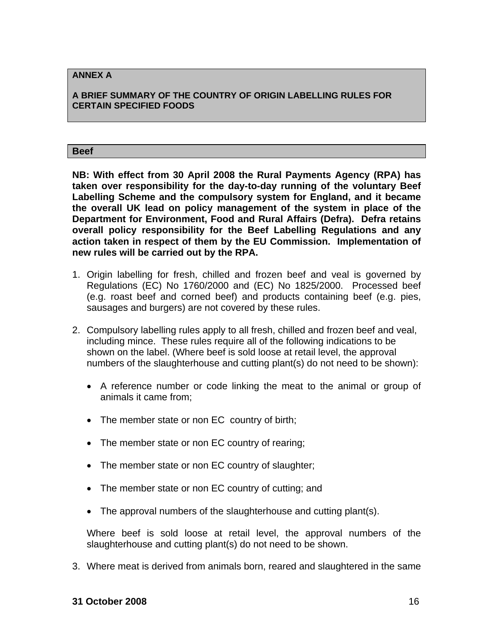#### **ANNEX A**

#### **A BRIEF SUMMARY OF THE COUNTRY OF ORIGIN LABELLING RULES FOR CERTAIN SPECIFIED FOODS**

#### **Beef**

**NB: With effect from 30 April 2008 the Rural Payments Agency (RPA) has taken over responsibility for the day-to-day running of the voluntary Beef Labelling Scheme and the compulsory system for England, and it became the overall UK lead on policy management of the system in place of the Department for Environment, Food and Rural Affairs (Defra). Defra retains overall policy responsibility for the Beef Labelling Regulations and any action taken in respect of them by the EU Commission. Implementation of new rules will be carried out by the RPA.** 

- 1. Origin labelling for fresh, chilled and frozen beef and veal is governed by Regulations (EC) No 1760/2000 and (EC) No 1825/2000. Processed beef (e.g. roast beef and corned beef) and products containing beef (e.g. pies, sausages and burgers) are not covered by these rules.
- 2. Compulsory labelling rules apply to all fresh, chilled and frozen beef and veal, including mince. These rules require all of the following indications to be shown on the label. (Where beef is sold loose at retail level, the approval numbers of the slaughterhouse and cutting plant(s) do not need to be shown):
	- A reference number or code linking the meat to the animal or group of animals it came from;
	- The member state or non EC country of birth;
	- The member state or non EC country of rearing;
	- The member state or non EC country of slaughter;
	- The member state or non EC country of cutting; and
	- The approval numbers of the slaughterhouse and cutting plant(s).

Where beef is sold loose at retail level, the approval numbers of the slaughterhouse and cutting plant(s) do not need to be shown.

3. Where meat is derived from animals born, reared and slaughtered in the same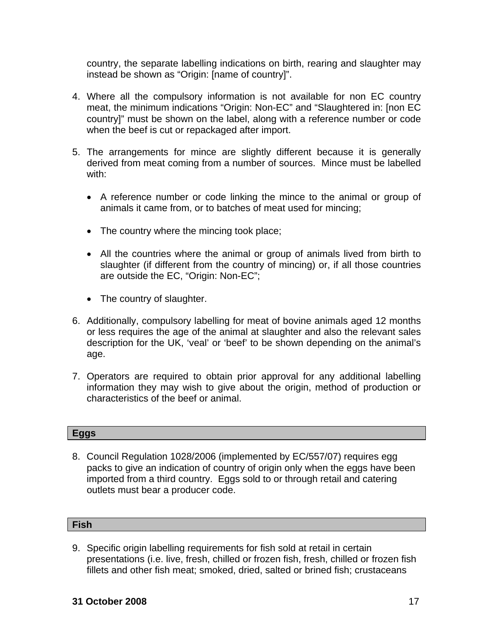country, the separate labelling indications on birth, rearing and slaughter may instead be shown as "Origin: [name of country]".

- 4. Where all the compulsory information is not available for non EC country meat, the minimum indications "Origin: Non-EC" and "Slaughtered in: [non EC country]" must be shown on the label, along with a reference number or code when the beef is cut or repackaged after import.
- 5. The arrangements for mince are slightly different because it is generally derived from meat coming from a number of sources. Mince must be labelled with:
	- A reference number or code linking the mince to the animal or group of animals it came from, or to batches of meat used for mincing;
	- The country where the mincing took place;
	- All the countries where the animal or group of animals lived from birth to slaughter (if different from the country of mincing) or, if all those countries are outside the EC, "Origin: Non-EC";
	- The country of slaughter.
- 6. Additionally, compulsory labelling for meat of bovine animals aged 12 months or less requires the age of the animal at slaughter and also the relevant sales description for the UK, 'veal' or 'beef' to be shown depending on the animal's age.
- 7. Operators are required to obtain prior approval for any additional labelling information they may wish to give about the origin, method of production or characteristics of the beef or animal.

### **Eggs**

8. Council Regulation 1028/2006 (implemented by EC/557/07) requires egg packs to give an indication of country of origin only when the eggs have been imported from a third country. Eggs sold to or through retail and catering outlets must bear a producer code.

### **Fish**

9. Specific origin labelling requirements for fish sold at retail in certain presentations (i.e. live, fresh, chilled or frozen fish, fresh, chilled or frozen fish fillets and other fish meat; smoked, dried, salted or brined fish; crustaceans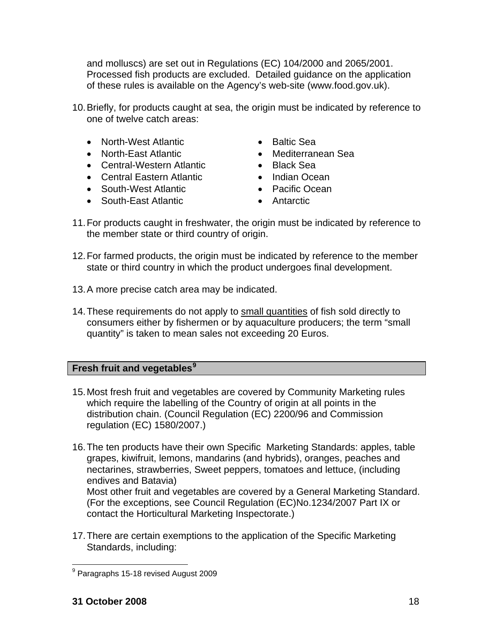and molluscs) are set out in Regulations (EC) 104/2000 and 2065/2001. Processed fish products are excluded. Detailed guidance on the application of these rules is available on the Agency's web-site (www.food.gov.uk).

- 10. Briefly, for products caught at sea, the origin must be indicated by reference to one of twelve catch areas:
	- North-West Atlantic  **Baltic Sea**
	-
	- Central-Western Atlantic Black Sea
	- Central Eastern Atlantic Indian Ocean
	- South-West Atlantic Pacific Ocean
	- South-East Atlantic  **Antarctic**
- - North-East Atlantic **•** Mediterranean Sea
		-
		-
		-
		-
- 11. For products caught in freshwater, the origin must be indicated by reference to the member state or third country of origin.
- 12. For farmed products, the origin must be indicated by reference to the member state or third country in which the product undergoes final development.
- 13. A more precise catch area may be indicated.
- 14. These requirements do not apply to small quantities of fish sold directly to consumers either by fishermen or by aquaculture producers; the term "small quantity" is taken to mean sales not exceeding 20 Euros.

## **Fresh fruit and vegetables[9](#page-17-0)**

- 15. Most fresh fruit and vegetables are covered by Community Marketing rules which require the labelling of the Country of origin at all points in the distribution chain. (Council Regulation (EC) 2200/96 and Commission regulation (EC) 1580/2007.)
- 16. The ten products have their own Specific Marketing Standards: apples, table grapes, kiwifruit, lemons, mandarins (and hybrids), oranges, peaches and nectarines, strawberries, Sweet peppers, tomatoes and lettuce, (including endives and Batavia) Most other fruit and vegetables are covered by a General Marketing Standard. (For the exceptions, see Council Regulation (EC)No.1234/2007 Part IX or contact the Horticultural Marketing Inspectorate.)
- 17. There are certain exemptions to the application of the Specific Marketing Standards, including:

<span id="page-17-0"></span> 9 Paragraphs 15-18 revised August 2009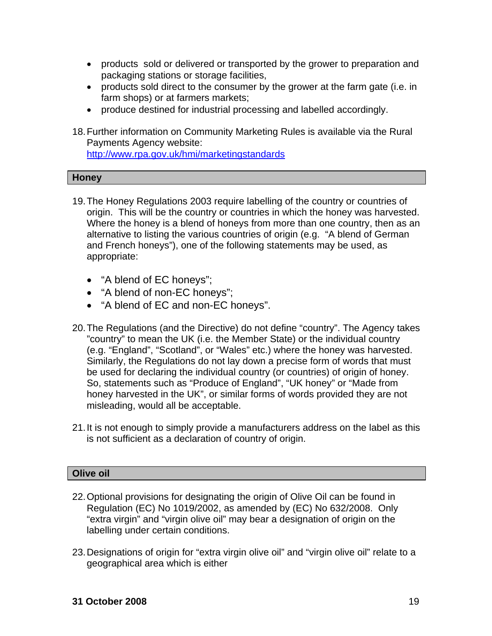- products sold or delivered or transported by the grower to preparation and packaging stations or storage facilities,
- products sold direct to the consumer by the grower at the farm gate (i.e. in farm shops) or at farmers markets;
- produce destined for industrial processing and labelled accordingly.
- 18. Further information on Community Marketing Rules is available via the Rural Payments Agency website: <http://www.rpa.gov.uk/hmi/marketingstandards>

#### **Honey**

- 19. The Honey Regulations 2003 require labelling of the country or countries of origin. This will be the country or countries in which the honey was harvested. Where the honey is a blend of honeys from more than one country, then as an alternative to listing the various countries of origin (e.g. "A blend of German and French honeys"), one of the following statements may be used, as appropriate:
	- "A blend of EC honeys";
	- "A blend of non-EC honeys";
	- "A blend of EC and non-EC honeys".
- 20. The Regulations (and the Directive) do not define "country". The Agency takes "country" to mean the UK (i.e. the Member State) or the individual country (e.g. "England", "Scotland", or "Wales" etc.) where the honey was harvested. Similarly, the Regulations do not lay down a precise form of words that must be used for declaring the individual country (or countries) of origin of honey. So, statements such as "Produce of England", "UK honey" or "Made from honey harvested in the UK", or similar forms of words provided they are not misleading, would all be acceptable.
- 21. It is not enough to simply provide a manufacturers address on the label as this is not sufficient as a declaration of country of origin.

### **Olive oil**

- 22. Optional provisions for designating the origin of Olive Oil can be found in Regulation (EC) No 1019/2002, as amended by (EC) No 632/2008. Only "extra virgin" and "virgin olive oil" may bear a designation of origin on the labelling under certain conditions.
- 23. Designations of origin for "extra virgin olive oil" and "virgin olive oil" relate to a geographical area which is either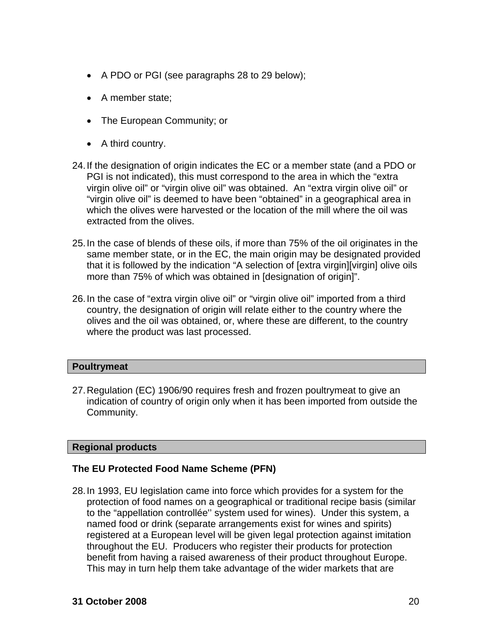- A PDO or PGI (see paragraphs 28 to 29 below);
- A member state:
- The European Community; or
- A third country.
- 24. If the designation of origin indicates the EC or a member state (and a PDO or PGI is not indicated), this must correspond to the area in which the "extra virgin olive oil" or "virgin olive oil" was obtained. An "extra virgin olive oil" or "virgin olive oil" is deemed to have been "obtained" in a geographical area in which the olives were harvested or the location of the mill where the oil was extracted from the olives.
- 25. In the case of blends of these oils, if more than 75% of the oil originates in the same member state, or in the EC, the main origin may be designated provided that it is followed by the indication "A selection of [extra virgin][virgin] olive oils more than 75% of which was obtained in [designation of origin]".
- 26. In the case of "extra virgin olive oil" or "virgin olive oil" imported from a third country, the designation of origin will relate either to the country where the olives and the oil was obtained, or, where these are different, to the country where the product was last processed.

### **Poultrymeat**

27. Regulation (EC) 1906/90 requires fresh and frozen poultrymeat to give an indication of country of origin only when it has been imported from outside the Community.

### **Regional products**

### **The EU Protected Food Name Scheme (PFN)**

28. In 1993, EU legislation came into force which provides for a system for the protection of food names on a geographical or traditional recipe basis (similar to the "appellation controllée'' system used for wines). Under this system, a named food or drink (separate arrangements exist for wines and spirits) registered at a European level will be given legal protection against imitation throughout the EU. Producers who register their products for protection benefit from having a raised awareness of their product throughout Europe. This may in turn help them take advantage of the wider markets that are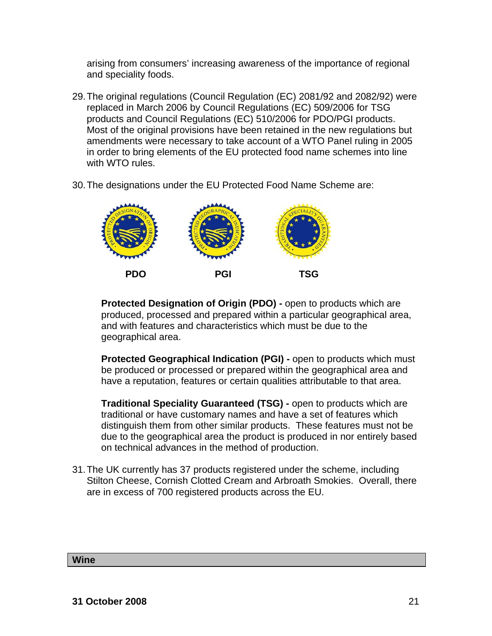arising from consumers' increasing awareness of the importance of regional and speciality foods.

- 29. The original regulations (Council Regulation (EC) 2081/92 and 2082/92) were replaced in March 2006 by Council Regulations (EC) 509/2006 for TSG products and Council Regulations (EC) 510/2006 for PDO/PGI products. Most of the original provisions have been retained in the new regulations but amendments were necessary to take account of a WTO Panel ruling in 2005 in order to bring elements of the EU protected food name schemes into line with WTO rules.
- 30. The designations under the EU Protected Food Name Scheme are:



**Protected Designation of Origin (PDO) -** open to products which are produced, processed and prepared within a particular geographical area, and with features and characteristics which must be due to the geographical area.

**Protected Geographical Indication (PGI) -** open to products which must be produced or processed or prepared within the geographical area and have a reputation, features or certain qualities attributable to that area.

**Traditional Speciality Guaranteed (TSG) -** open to products which are traditional or have customary names and have a set of features which distinguish them from other similar products. These features must not be due to the geographical area the product is produced in nor entirely based on technical advances in the method of production.

31. The UK currently has 37 products registered under the scheme, including Stilton Cheese, Cornish Clotted Cream and Arbroath Smokies. Overall, there are in excess of 700 registered products across the EU.

#### **Wine**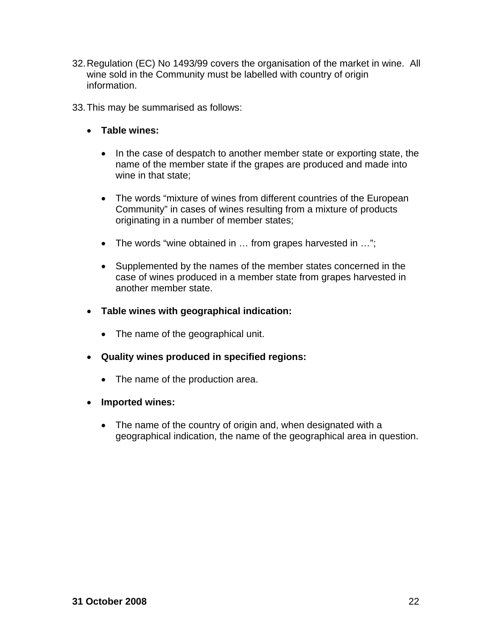- 32. Regulation (EC) No 1493/99 covers the organisation of the market in wine. All wine sold in the Community must be labelled with country of origin information.
- 33. This may be summarised as follows:
	- **Table wines:** 
		- In the case of despatch to another member state or exporting state, the name of the member state if the grapes are produced and made into wine in that state;
		- The words "mixture of wines from different countries of the European Community" in cases of wines resulting from a mixture of products originating in a number of member states;
		- The words "wine obtained in … from grapes harvested in …";
		- Supplemented by the names of the member states concerned in the case of wines produced in a member state from grapes harvested in another member state.
	- **Table wines with geographical indication:** 
		- The name of the geographical unit.
	- **Quality wines produced in specified regions:** 
		- The name of the production area.
	- **Imported wines:** 
		- The name of the country of origin and, when designated with a geographical indication, the name of the geographical area in question.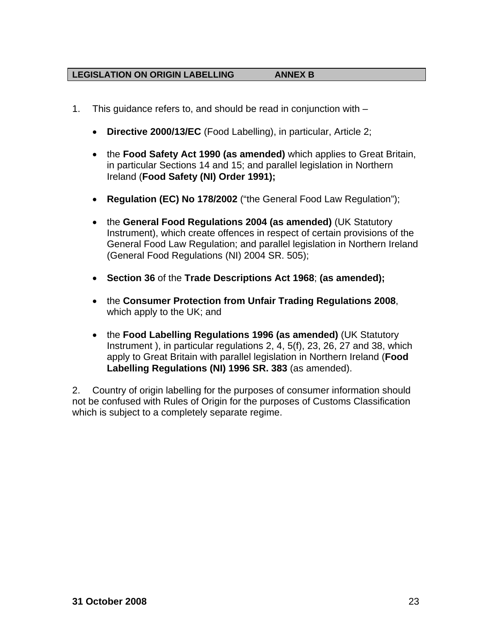#### **LEGISLATION ON ORIGIN LABELLING ANNEX B**

- 1. This guidance refers to, and should be read in conjunction with
	- **Directive 2000/13/EC** (Food Labelling), in particular, Article 2;
	- the **Food Safety Act 1990 (as amended)** which applies to Great Britain, in particular Sections 14 and 15; and parallel legislation in Northern Ireland (**Food Safety (NI) Order 1991);**
	- **Regulation (EC) No 178/2002** ("the General Food Law Regulation");
	- the **General Food Regulations 2004 (as amended)** (UK Statutory Instrument), which create offences in respect of certain provisions of the General Food Law Regulation; and parallel legislation in Northern Ireland (General Food Regulations (NI) 2004 SR. 505);
	- **Section 36** of the **Trade Descriptions Act 1968**; **(as amended);**
	- the **Consumer Protection from Unfair Trading Regulations 2008**, which apply to the UK; and
	- the **Food Labelling Regulations 1996 (as amended)** (UK Statutory Instrument ), in particular regulations 2, 4, 5(f), 23, 26, 27 and 38, which apply to Great Britain with parallel legislation in Northern Ireland (**Food Labelling Regulations (NI) 1996 SR. 383** (as amended).

2. Country of origin labelling for the purposes of consumer information should not be confused with Rules of Origin for the purposes of Customs Classification which is subject to a completely separate regime.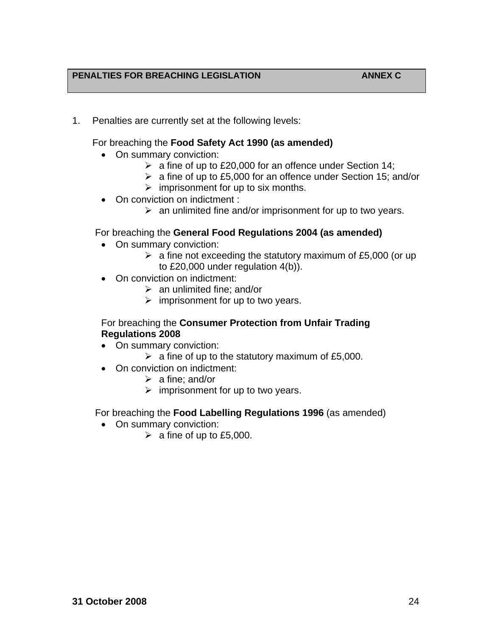## **PENALTIES FOR BREACHING LEGISLATION ANNEX C**

1. Penalties are currently set at the following levels:

## For breaching the **Food Safety Act 1990 (as amended)**

- On summary conviction:
	- $\triangleright$  a fine of up to £20,000 for an offence under Section 14;
	- $\geq$  a fine of up to £5,000 for an offence under Section 15; and/or
	- $\triangleright$  imprisonment for up to six months.
- On conviction on indictment :
	- $\triangleright$  an unlimited fine and/or imprisonment for up to two years.

## For breaching the **General Food Regulations 2004 (as amended)**

- On summary conviction:
	- $\geq$  a fine not exceeding the statutory maximum of £5,000 (or up to £20,000 under regulation 4(b)).
- On conviction on indictment:
	- $\triangleright$  an unlimited fine; and/or
	- $\triangleright$  imprisonment for up to two years.

## For breaching the **Consumer Protection from Unfair Trading Regulations 2008**

- On summary conviction:
	- $\geq$  a fine of up to the statutory maximum of £5,000.
- On conviction on indictment:
	- $\triangleright$  a fine; and/or
	- $\triangleright$  imprisonment for up to two years.

### For breaching the **Food Labelling Regulations 1996** (as amended)

- On summary conviction:
	- $\triangleright$  a fine of up to £5,000.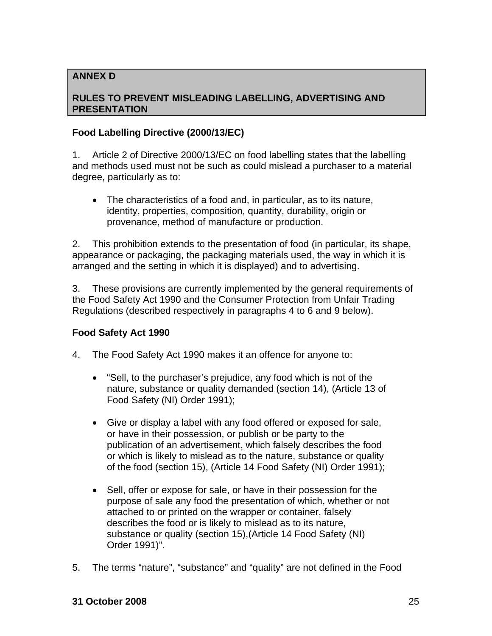# **ANNEX D**

## **RULES TO PREVENT MISLEADING LABELLING, ADVERTISING AND PRESENTATION**

## **Food Labelling Directive (2000/13/EC)**

1. Article 2 of Directive 2000/13/EC on food labelling states that the labelling and methods used must not be such as could mislead a purchaser to a material degree, particularly as to:

• The characteristics of a food and, in particular, as to its nature, identity, properties, composition, quantity, durability, origin or provenance, method of manufacture or production.

2. This prohibition extends to the presentation of food (in particular, its shape, appearance or packaging, the packaging materials used, the way in which it is arranged and the setting in which it is displayed) and to advertising.

3. These provisions are currently implemented by the general requirements of the Food Safety Act 1990 and the Consumer Protection from Unfair Trading Regulations (described respectively in paragraphs 4 to 6 and 9 below).

## **Food Safety Act 1990**

- 4. The Food Safety Act 1990 makes it an offence for anyone to:
	- "Sell, to the purchaser's prejudice, any food which is not of the nature, substance or quality demanded (section 14), (Article 13 of Food Safety (NI) Order 1991);
	- Give or display a label with any food offered or exposed for sale, or have in their possession, or publish or be party to the publication of an advertisement, which falsely describes the food or which is likely to mislead as to the nature, substance or quality of the food (section 15), (Article 14 Food Safety (NI) Order 1991);
	- Sell, offer or expose for sale, or have in their possession for the purpose of sale any food the presentation of which, whether or not attached to or printed on the wrapper or container, falsely describes the food or is likely to mislead as to its nature, substance or quality (section 15),(Article 14 Food Safety (NI) Order 1991)".
- 5. The terms "nature", "substance" and "quality" are not defined in the Food